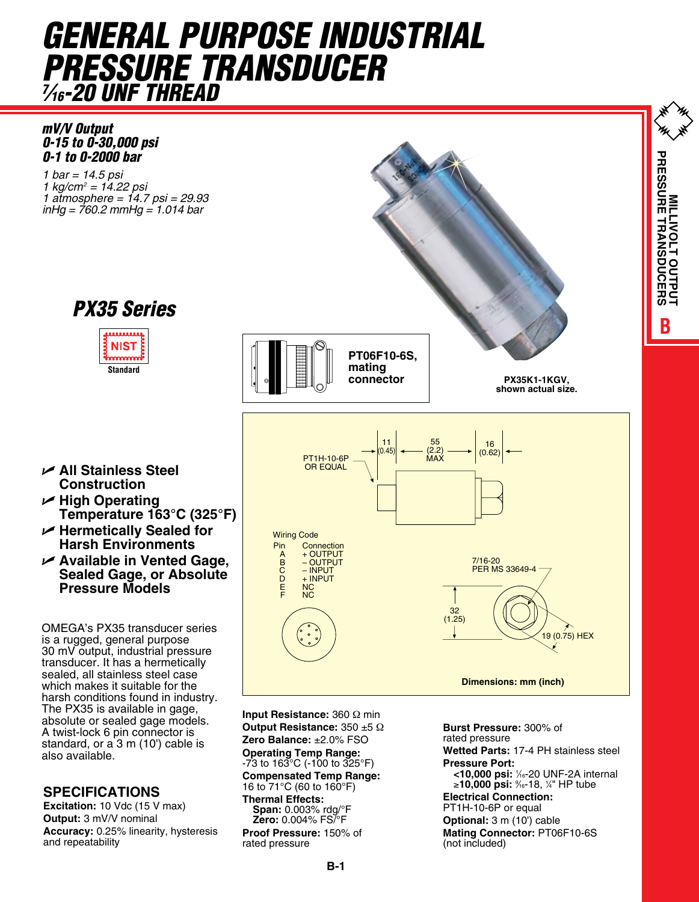# *GENERAL PURPOSE INDUSTRIAL PRESSURE TRANSDUCER 7 ⁄16-20 UNF THREAD*

*mV/V Output 0-15 to 0-30,000 psi 0-1 to 0-2000 bar*

*1 bar = 14.5 psi 1 kg/cm2 = 14.22 psi 1 atmosphere = 14.7 psi = 29.93 inHg = 760.2 mmHg = 1.014 bar*



is a rugged, general purpose 30 mV output, industrial pressure transducer. It has a hermetically sealed, all stainless steel case which makes it suitable for the The PX35 is available in gage, absolute or sealed gage models. A twist-lock 6 pin connector is standard, or  $a$  3 m (10') cable is also available.

## **Specifications**

**Excitation:** 10 Vdc (15 V max) **Output:** 3 mV/V nominal **Accuracy:** 0.25% linearity, hysteresis and repeatability

**Input Resistance:** 360 Ω min **Output Resistance:** 350 ±5 Ω **Zero Balance:** ±2.0% FSO **Operating Temp Range:** -73 to 163°C (-100 to 325°F) **Compensated Temp Range:** 16 to 71°C (60 to 160°F) **Thermal Effects: Span:** 0.003% rdg/°F **Zero:** 0.004% FS/°F

**Proof Pressure:** 150% of rated pressure

**Burst Pressure:** 300% of rated pressure **Wetted Parts:** 17-4 PH stainless steel **Pressure Port: <10,000 psi:** <sup>1</sup> ⁄16-20 UNF-2A internal ≥**10,000 psi:** <sup>9</sup> ⁄16-18, 1 ⁄4" HP tube **Electrical Connection:** PT1H-10-6P or equal **Optional:** 3 m (10') cable **Mating Connector:** PT06F10-6S (not included)

**BMILLIVOLT OUTPUT PRESSURE TRANSDUCERS**

MILLIVOLT OUTP **TRANSDUCERS** 

**PRESSURE** 

## U **All Stainless Steel Construction**

**Standard**

**NIST** nnnn

*PX35 Series*

- U **High Operating Temperature 163°C (325°F)**
- U **Hermetically Sealed for Harsh Environments**
- U **Available in Vented Gage, Sealed Gage, or Absolute Pressure Models**

OMEGA's PX35 transducer series harsh conditions found in industry.